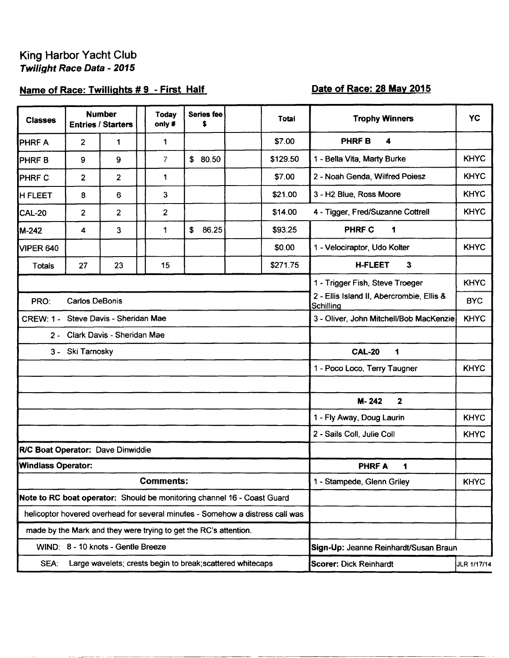## Name of Race: Twillights #9 - First Half

## Date of Race: 28 May 2015

| <b>Classes</b>                                                          |                                    | <b>Number</b><br><b>Entries / Starters</b> |  | <b>Today</b><br>only #                                                                                     | Series fee<br>\$ |                                       | Total                                                                         | <b>Trophy Winners</b>                                  | <b>YC</b>   |
|-------------------------------------------------------------------------|------------------------------------|--------------------------------------------|--|------------------------------------------------------------------------------------------------------------|------------------|---------------------------------------|-------------------------------------------------------------------------------|--------------------------------------------------------|-------------|
| <b>PHRFA</b>                                                            | 2                                  | 1                                          |  | 1                                                                                                          |                  |                                       | \$7.00                                                                        | PHRF B<br>4                                            |             |
| PHRF B                                                                  | 9                                  | 9                                          |  | $\overline{7}$                                                                                             | \$80.50          |                                       | \$129.50                                                                      | 1 - Bella Vita, Marty Burke                            | <b>KHYC</b> |
| <b>I</b> PHRF C                                                         | 2                                  | $\overline{2}$                             |  | 1                                                                                                          |                  |                                       | \$7.00                                                                        | 2 - Noah Genda, Wilfred Poiesz                         | <b>KHYC</b> |
| <b>H FLEET</b>                                                          | 8                                  | 6                                          |  | 3                                                                                                          |                  |                                       | \$21.00                                                                       | 3 - H2 Blue, Ross Moore                                | <b>KHYC</b> |
| CAL-20                                                                  | 2                                  | 2                                          |  | $\overline{\mathbf{c}}$                                                                                    |                  |                                       | \$14.00                                                                       | 4 - Tigger, Fred/Suzanne Cottrell                      | <b>KHYC</b> |
| M-242                                                                   | 4                                  | 3                                          |  | 1                                                                                                          | \$<br>86.25      |                                       | \$93.25                                                                       | <b>PHRF C</b><br>1                                     |             |
| VIPER 640                                                               |                                    |                                            |  |                                                                                                            |                  |                                       | \$0.00                                                                        | 1 - Velociraptor, Udo Kolter                           | <b>KHYC</b> |
| <b>Totals</b>                                                           | 27                                 | 23                                         |  | 15                                                                                                         |                  |                                       | \$271.75                                                                      | <b>H-FLEET</b><br>$\mathbf{3}$                         |             |
|                                                                         |                                    |                                            |  |                                                                                                            |                  |                                       |                                                                               | 1 - Trigger Fish, Steve Troeger                        | <b>KHYC</b> |
| PRO:                                                                    | <b>Carlos DeBonis</b>              |                                            |  |                                                                                                            |                  |                                       |                                                                               | 2 - Ellis Island II, Abercrombie, Ellis &<br>Schilling | <b>BYC</b>  |
| CREW: 1 - Steve Davis - Sheridan Mae                                    |                                    |                                            |  |                                                                                                            |                  |                                       |                                                                               | 3 - Oliver, John Mitchell/Bob MacKenzie                | <b>KHYC</b> |
|                                                                         |                                    | 2 - Clark Davis - Sheridan Mae             |  |                                                                                                            |                  |                                       |                                                                               |                                                        |             |
|                                                                         | 3 - Ski Tarnosky                   |                                            |  |                                                                                                            |                  |                                       |                                                                               | <b>CAL-20</b><br>1                                     |             |
|                                                                         |                                    |                                            |  |                                                                                                            |                  |                                       |                                                                               | 1 - Poco Loco, Terry Taugner                           | <b>KHYC</b> |
|                                                                         |                                    |                                            |  |                                                                                                            |                  |                                       |                                                                               |                                                        |             |
|                                                                         |                                    |                                            |  |                                                                                                            |                  |                                       |                                                                               | M-242<br>$\mathbf{2}$                                  |             |
|                                                                         |                                    |                                            |  |                                                                                                            |                  |                                       |                                                                               | 1 - Fly Away, Doug Laurin                              | <b>KHYC</b> |
|                                                                         |                                    |                                            |  |                                                                                                            |                  |                                       |                                                                               | 2 - Sails Coll, Julie Coll                             | <b>KHYC</b> |
| R/C Boat Operator: Dave Dinwiddie                                       |                                    |                                            |  |                                                                                                            |                  |                                       |                                                                               |                                                        |             |
| <b>Windlass Operator:</b>                                               |                                    |                                            |  |                                                                                                            |                  |                                       |                                                                               | <b>PHRFA</b><br>1                                      |             |
|                                                                         |                                    |                                            |  | <b>Comments:</b>                                                                                           |                  |                                       |                                                                               | 1 - Stampede, Glenn Griley                             | <b>KHYC</b> |
| Note to RC boat operator: Should be monitoring channel 16 - Coast Guard |                                    |                                            |  |                                                                                                            |                  |                                       |                                                                               |                                                        |             |
|                                                                         |                                    |                                            |  |                                                                                                            |                  |                                       | helicoptor hovered overhead for several minutes - Somehow a distress call was |                                                        |             |
| made by the Mark and they were trying to get the RC's attention.        |                                    |                                            |  |                                                                                                            |                  |                                       |                                                                               |                                                        |             |
|                                                                         | WIND: 8 - 10 knots - Gentle Breeze |                                            |  |                                                                                                            |                  | Sign-Up: Jeanne Reinhardt/Susan Braun |                                                                               |                                                        |             |
| SEA:                                                                    |                                    |                                            |  | Large wavelets; crests begin to break; scattered whitecaps<br><b>Scorer: Dick Reinhardt</b><br>JLR 1/17/14 |                  |                                       |                                                                               |                                                        |             |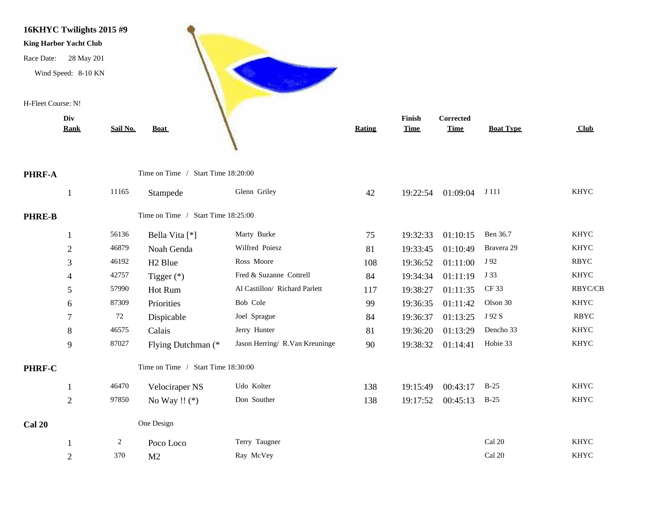

|               | <b>Rank</b>    | Sail No.       | <b>Boat</b>                        |                                | <b>Rating</b> | <b>Time</b> | <b>Time</b> | <b>Boat Type</b> | <b>Club</b> |
|---------------|----------------|----------------|------------------------------------|--------------------------------|---------------|-------------|-------------|------------------|-------------|
| PHRF-A        |                |                | Time on Time / Start Time 18:20:00 |                                |               |             |             |                  |             |
|               | -1             | 11165          | Stampede                           | Glenn Griley                   | 42            | 19:22:54    | 01:09:04    | J 111            | <b>KHYC</b> |
| <b>PHRE-B</b> |                |                | Time on Time / Start Time 18:25:00 |                                |               |             |             |                  |             |
|               | 1              | 56136          | Bella Vita [*]                     | Marty Burke                    | 75            | 19:32:33    | 01:10:15    | Ben 36.7         | <b>KHYC</b> |
|               | $\overline{2}$ | 46879          | Noah Genda                         | Wilfred Poiesz                 | 81            | 19:33:45    | 01:10:49    | Bravera 29       | <b>KHYC</b> |
|               | 3              | 46192          | H <sub>2</sub> Blue                | Ross Moore                     | 108           | 19:36:52    | 01:11:00    | J 92             | <b>RBYC</b> |
|               | 4              | 42757          | Tigger $(*)$                       | Fred & Suzanne Cottrell        | 84            | 19:34:34    | 01:11:19    | J 33             | <b>KHYC</b> |
|               | 5              | 57990          | Hot Rum                            | Al Castillon/ Richard Parlett  | 117           | 19:38:27    | 01:11:35    | CF 33            | RBYC/CB     |
|               | 6              | 87309          | Priorities                         | Bob Cole                       | 99            | 19:36:35    | 01:11:42    | Olson 30         | <b>KHYC</b> |
|               | 7              | 72             | Dispicable                         | Joel Sprague                   | 84            | 19:36:37    | 01:13:25    | J 92 S           | <b>RBYC</b> |
|               | $\,8\,$        | 46575          | Calais                             | Jerry Hunter                   | 81            | 19:36:20    | 01:13:29    | Dencho 33        | <b>KHYC</b> |
|               | 9              | 87027          | Flying Dutchman (*                 | Jason Herring/ R.Van Kreuninge | 90            | 19:38:32    | 01:14:41    | Hobie 33         | <b>KHYC</b> |
| PHRF-C        |                |                | Time on Time / Start Time 18:30:00 |                                |               |             |             |                  |             |
|               | 1              | 46470          | Velociraper NS                     | Udo Kolter                     | 138           | 19:15:49    | 00:43:17    | $B-25$           | <b>KHYC</b> |
|               | $\overline{2}$ | 97850          | No Way $\mathop{!!}$ (*)           | Don Souther                    | 138           | 19:17:52    | 00:45:13    | $B-25$           | <b>KHYC</b> |
| <b>Cal 20</b> |                |                | One Design                         |                                |               |             |             |                  |             |
|               |                | $\overline{2}$ | Poco Loco                          | Terry Taugner                  |               |             |             | Cal 20           | <b>KHYC</b> |
|               | $\overline{2}$ | 370            | M <sub>2</sub>                     | Ray McVey                      |               |             |             | Cal 20           | <b>KHYC</b> |